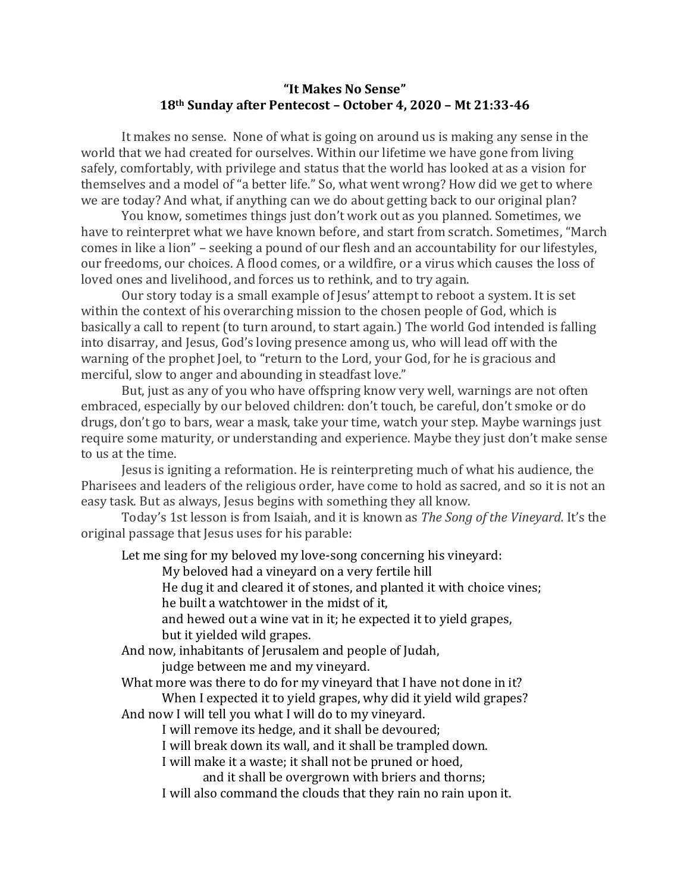### **"It Makes No Sense" 18th Sunday after Pentecost – October 4, 2020 – Mt 21:33-46**

It makes no sense. None of what is going on around us is making any sense in the world that we had created for ourselves. Within our lifetime we have gone from living safely, comfortably, with privilege and status that the world has looked at as a vision for themselves and a model of "a better life." So, what went wrong? How did we get to where we are today? And what, if anything can we do about getting back to our original plan?

You know, sometimes things just don't work out as you planned. Sometimes, we have to reinterpret what we have known before, and start from scratch. Sometimes, "March comes in like a lion" – seeking a pound of our flesh and an accountability for our lifestyles, our freedoms, our choices. A flood comes, or a wildfire, or a virus which causes the loss of loved ones and livelihood, and forces us to rethink, and to try again.

Our story today is a small example of Jesus' attempt to reboot a system. It is set within the context of his overarching mission to the chosen people of God, which is basically a call to repent (to turn around, to start again.) The world God intended is falling into disarray, and Jesus, God's loving presence among us, who will lead off with the warning of the prophet Joel, to "return to the Lord, your God, for he is gracious and merciful, slow to anger and abounding in steadfast love."

But, just as any of you who have offspring know very well, warnings are not often embraced, especially by our beloved children: don't touch, be careful, don't smoke or do drugs, don't go to bars, wear a mask, take your time, watch your step. Maybe warnings just require some maturity, or understanding and experience. Maybe they just don't make sense to us at the time.

Jesus is igniting a reformation. He is reinterpreting much of what his audience, the Pharisees and leaders of the religious order, have come to hold as sacred, and so it is not an easy task. But as always, Jesus begins with something they all know.

Today's 1st lesson is from Isaiah, and it is known as *The Song of the Vineyard.* It's the original passage that Jesus uses for his parable:

Let me sing for my beloved my love-song concerning his vineyard:

My beloved had a vineyard on a very fertile hill

He dug it and cleared it of stones, and planted it with choice vines; he built a watchtower in the midst of it,

and hewed out a wine vat in it; he expected it to yield grapes, but it yielded wild grapes.

And now, inhabitants of Jerusalem and people of Judah, judge between me and my vineyard.

What more was there to do for my vinevard that I have not done in it?

When I expected it to yield grapes, why did it yield wild grapes?

And now I will tell you what I will do to my vineyard.

I will remove its hedge, and it shall be devoured;

I will break down its wall, and it shall be trampled down.

I will make it a waste; it shall not be pruned or hoed,

and it shall be overgrown with briers and thorns;

I will also command the clouds that they rain no rain upon it.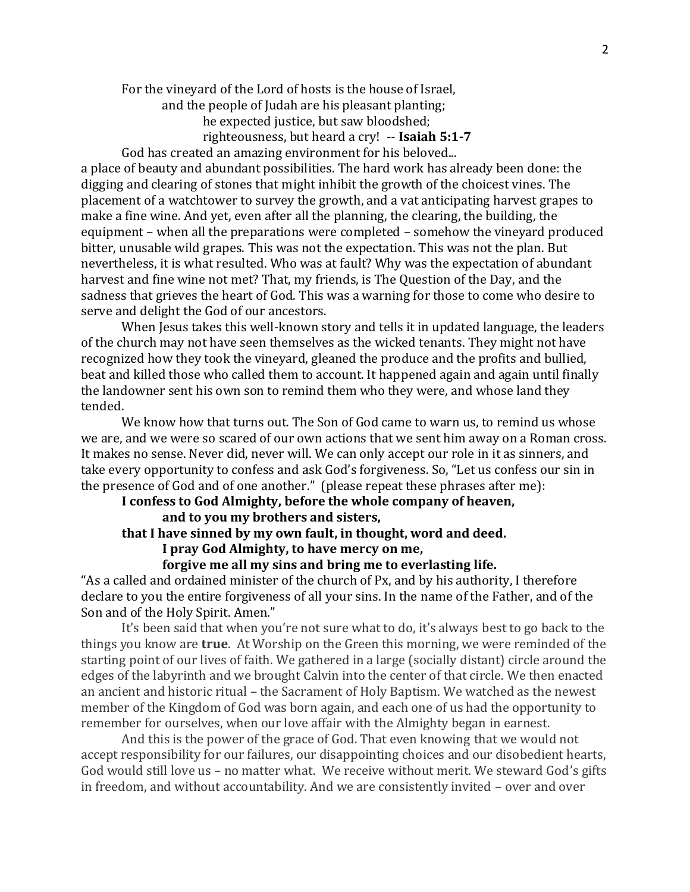For the vineyard of the Lord of hosts is the house of Israel,

and the people of Judah are his pleasant planting;

he expected justice, but saw bloodshed;

righteousness, but heard a cry! -- **Isaiah 5:1-7**

God has created an amazing environment for his beloved...

a place of beauty and abundant possibilities. The hard work has already been done: the digging and clearing of stones that might inhibit the growth of the choicest vines. The placement of a watchtower to survey the growth, and a vat anticipating harvest grapes to make a fine wine. And yet, even after all the planning, the clearing, the building, the equipment – when all the preparations were completed – somehow the vineyard produced bitter, unusable wild grapes. This was not the expectation. This was not the plan. But nevertheless, it is what resulted. Who was at fault? Why was the expectation of abundant harvest and fine wine not met? That, my friends, is The Question of the Day, and the sadness that grieves the heart of God. This was a warning for those to come who desire to serve and delight the God of our ancestors.

When Jesus takes this well-known story and tells it in updated language, the leaders of the church may not have seen themselves as the wicked tenants. They might not have recognized how they took the vineyard, gleaned the produce and the profits and bullied, beat and killed those who called them to account. It happened again and again until finally the landowner sent his own son to remind them who they were, and whose land they tended.

We know how that turns out. The Son of God came to warn us, to remind us whose we are, and we were so scared of our own actions that we sent him away on a Roman cross. It makes no sense. Never did, never will. We can only accept our role in it as sinners, and take every opportunity to confess and ask God's forgiveness. So, "Let us confess our sin in the presence of God and of one another." (please repeat these phrases after me):

## **I confess to God Almighty, before the whole company of heaven, and to you my brothers and sisters,**

# **that I have sinned by my own fault, in thought, word and deed. I pray God Almighty, to have mercy on me,**

### **forgive me all my sins and bring me to everlasting life.**

"As a called and ordained minister of the church of Px, and by his authority, I therefore declare to you the entire forgiveness of all your sins. In the name of the Father, and of the Son and of the Holy Spirit. Amen."

It's been said that when you're not sure what to do, it's always best to go back to the things you know are **true**. At Worship on the Green this morning, we were reminded of the starting point of our lives of faith. We gathered in a large (socially distant) circle around the edges of the labyrinth and we brought Calvin into the center of that circle. We then enacted an ancient and historic ritual – the Sacrament of Holy Baptism. We watched as the newest member of the Kingdom of God was born again, and each one of us had the opportunity to remember for ourselves, when our love affair with the Almighty began in earnest.

And this is the power of the grace of God. That even knowing that we would not accept responsibility for our failures, our disappointing choices and our disobedient hearts, God would still love us – no matter what. We receive without merit. We steward God's gifts in freedom, and without accountability. And we are consistently invited – over and over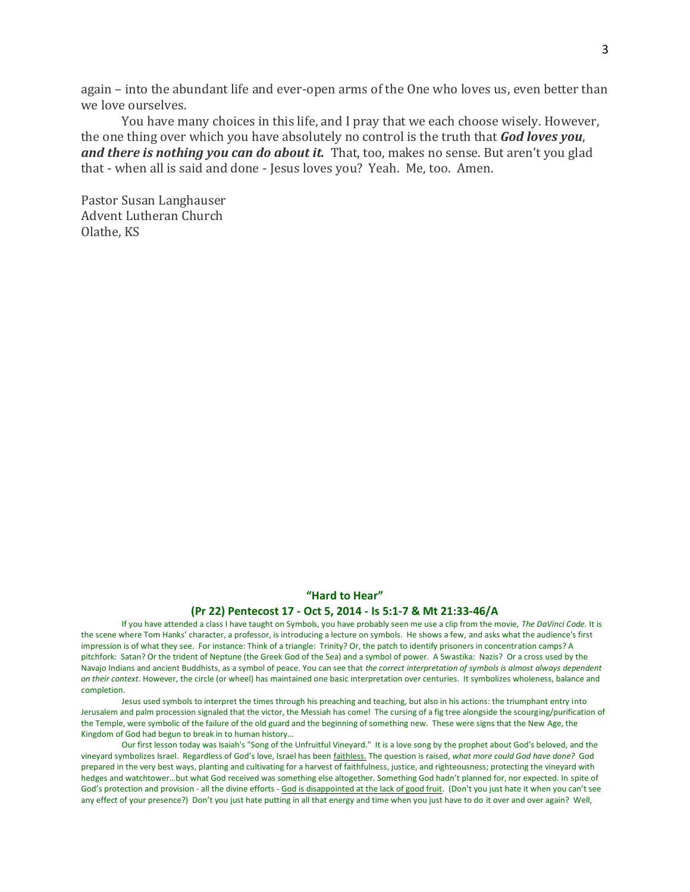again – into the abundant life and ever-open arms of the One who loves us, even better than we love ourselves.

You have many choices in this life, and I pray that we each choose wisely. However, the one thing over which you have absolutely no control is the truth that *God loves you*, *and there is nothing you can do about it.* That, too, makes no sense. But aren't you glad that - when all is said and done - Jesus loves you? Yeah. Me, too. Amen.

Pastor Susan Langhauser Advent Lutheran Church Olathe, KS

### **"Hard to Hear"**

#### **(Pr 22) Pentecost 17 - Oct 5, 2014 - Is 5:1-7 & Mt 21:33-46/A**

If you have attended a class I have taught on Symbols, you have probably seen me use a clip from the movie, *The DaVinci Code.* It is the scene where Tom Hanks' character, a professor, is introducing a lecture on symbols. He shows a few, and asks what the audience's first impression is of what they see. For instance: Think of a triangle: Trinity? Or, the patch to identify prisoners in concentration camps? A pitchfork: Satan? Or the trident of Neptune (the Greek God of the Sea) and a symbol of power. A Swastika: Nazis? Or a cross used by the Navajo Indians and ancient Buddhists, as a symbol of peace. You can see that *the correct interpretation of symbols is almost always dependent on their context.* However, the circle (or wheel) has maintained one basic interpretation over centuries. It symbolizes wholeness, balance and completion.

Jesus used symbols to interpret the times through his preaching and teaching, but also in his actions: the triumphant entry into Jerusalem and palm procession signaled that the victor, the Messiah has come! The cursing of a fig tree alongside the scourging/purification of the Temple, were symbolic of the failure of the old guard and the beginning of something new. These were signs that the New Age, the Kingdom of God had begun to break in to human history…

Our first lesson today was Isaiah's "Song of the Unfruitful Vineyard." It is a love song by the prophet about God's beloved, and the vineyard symbolizes Israel. Regardless of God's love, Israel has been faithless. The question is raised, *what more could God have done?* God prepared in the very best ways, planting and cultivating for a harvest of faithfulness, justice, and righteousness; protecting the vineyard with hedges and watchtower…but what God received was something else altogether. Something God hadn't planned for, nor expected. In spite of God's protection and provision - all the divine efforts - God is disappointed at the lack of good fruit. (Don't you just hate it when you can't see any effect of your presence?) Don't you just hate putting in all that energy and time when you just have to do it over and over again? Well,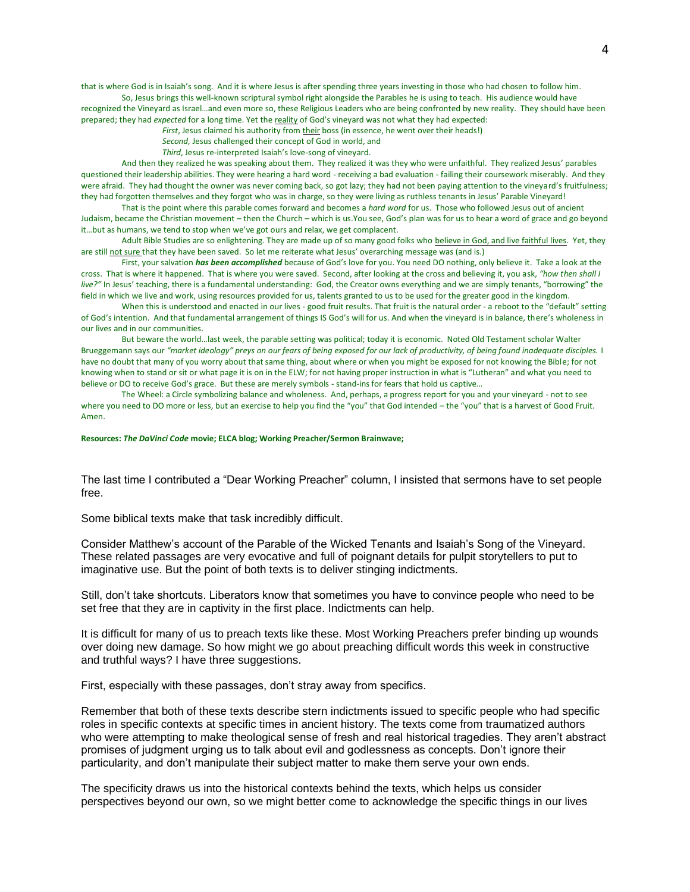that is where God is in Isaiah's song. And it is where Jesus is after spending three years investing in those who had chosen to follow him. So, Jesus brings this well-known scriptural symbol right alongside the Parables he is using to teach. His audience would have

recognized the Vineyard as Israel…and even more so, these Religious Leaders who are being confronted by new reality. They should have been prepared; they had *expected* for a long time. Yet the reality of God's vineyard was not what they had expected:

*First*, Jesus claimed his authority from their boss (in essence, he went over their heads!)

*Second*, Jesus challenged their concept of God in world, and

*Third*, Jesus re-interpreted Isaiah's love-song of vineyard.

And then they realized he was speaking about them. They realized it was they who were unfaithful. They realized Jesus' parables questioned their leadership abilities. They were hearing a hard word - receiving a bad evaluation - failing their coursework miserably. And they were afraid. They had thought the owner was never coming back, so got lazy; they had not been paying attention to the vineyard's fruitfulness; they had forgotten themselves and they forgot who was in charge, so they were living as ruthless tenants in Jesus' Parable Vineyard!

That is the point where this parable comes forward and becomes a *hard word* for us. Those who followed Jesus out of ancient Judaism, became the Christian movement – then the Church – which is us.You see, God's plan was for us to hear a word of grace and go beyond it…but as humans, we tend to stop when we've got ours and relax, we get complacent.

Adult Bible Studies are so enlightening. They are made up of so many good folks who believe in God, and live faithful lives. Yet, they are still not sure that they have been saved. So let me reiterate what Jesus' overarching message was (and is.)

First, your salvation *has been accomplished* because of God's love for you. You need DO nothing, only believe it. Take a look at the cross. That is where it happened. That is where you were saved. Second, after looking at the cross and believing it, you ask, *"how then shall I live?"* In Jesus' teaching, there is a fundamental understanding: God, the Creator owns everything and we are simply tenants, "borrowing" the field in which we live and work, using resources provided for us, talents granted to us to be used for the greater good in the kingdom.

When this is understood and enacted in our lives - good fruit results. That fruit is the natural order - a reboot to the "default" setting of God's intention. And that fundamental arrangement of things IS God's will for us. And when the vineyard is in balance, there's wholeness in our lives and in our communities.

But beware the world…last week, the parable setting was political; today it is economic. Noted Old Testament scholar Walter Brueggemann says our *"market ideology" preys on our fears of being exposed for our lack of productivity, of being found inadequate disciples.* I have no doubt that many of you worry about that same thing, about where or when you might be exposed for not knowing the Bible; for not knowing when to stand or sit or what page it is on in the ELW; for not having proper instruction in what is "Lutheran" and what you need to believe or DO to receive God's grace. But these are merely symbols - stand-ins for fears that hold us captive…

The Wheel: a Circle symbolizing balance and wholeness. And, perhaps, a progress report for you and your vineyard - not to see where you need to DO more or less, but an exercise to help you find the "you" that God intended – the "you" that is a harvest of Good Fruit. Amen.

#### **Resources:** *The DaVinci Code* **movie; ELCA blog; Working Preacher/Sermon Brainwave;**

The last time I contributed a "Dear Working Preacher" column, I insisted that sermons have to set people free.

Some biblical texts make that task incredibly difficult.

Consider Matthew's account of the Parable of the Wicked Tenants and Isaiah's Song of the Vineyard. These related passages are very evocative and full of poignant details for pulpit storytellers to put to imaginative use. But the point of both texts is to deliver stinging indictments.

Still, don't take shortcuts. Liberators know that sometimes you have to convince people who need to be set free that they are in captivity in the first place. Indictments can help.

It is difficult for many of us to preach texts like these. Most Working Preachers prefer binding up wounds over doing new damage. So how might we go about preaching difficult words this week in constructive and truthful ways? I have three suggestions.

First, especially with these passages, don't stray away from specifics.

Remember that both of these texts describe stern indictments issued to specific people who had specific roles in specific contexts at specific times in ancient history. The texts come from traumatized authors who were attempting to make theological sense of fresh and real historical tragedies. They aren't abstract promises of judgment urging us to talk about evil and godlessness as concepts. Don't ignore their particularity, and don't manipulate their subject matter to make them serve your own ends.

The specificity draws us into the historical contexts behind the texts, which helps us consider perspectives beyond our own, so we might better come to acknowledge the specific things in our lives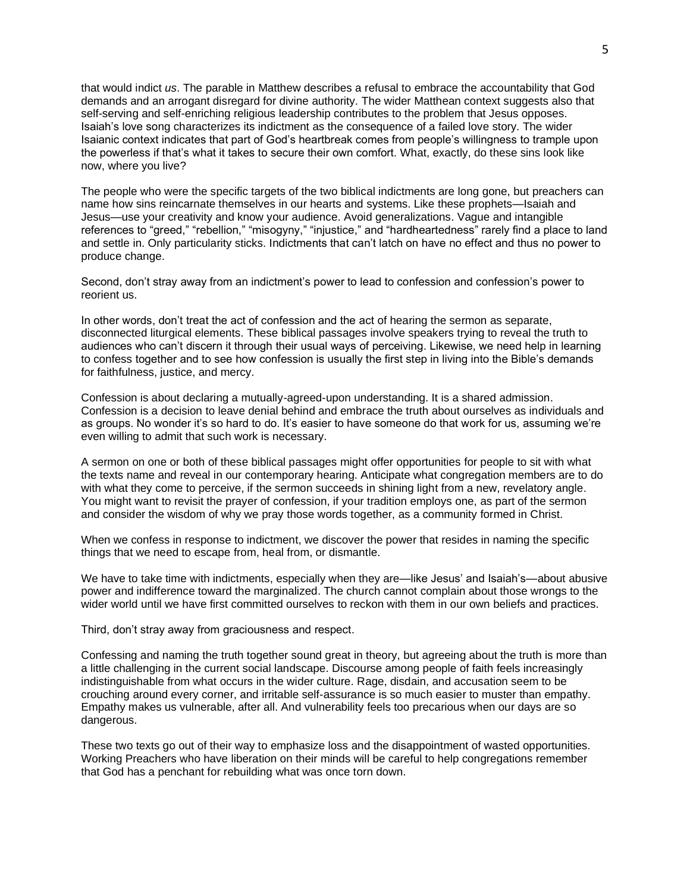that would indict *us*. The parable in Matthew describes a refusal to embrace the accountability that God demands and an arrogant disregard for divine authority. The wider Matthean context suggests also that self-serving and self-enriching religious leadership contributes to the problem that Jesus opposes. Isaiah's love song characterizes its indictment as the consequence of a failed love story. The wider Isaianic context indicates that part of God's heartbreak comes from people's willingness to trample upon the powerless if that's what it takes to secure their own comfort. What, exactly, do these sins look like now, where you live?

The people who were the specific targets of the two biblical indictments are long gone, but preachers can name how sins reincarnate themselves in our hearts and systems. Like these prophets—Isaiah and Jesus—use your creativity and know your audience. Avoid generalizations. Vague and intangible references to "greed," "rebellion," "misogyny," "injustice," and "hardheartedness" rarely find a place to land and settle in. Only particularity sticks. Indictments that can't latch on have no effect and thus no power to produce change.

Second, don't stray away from an indictment's power to lead to confession and confession's power to reorient us.

In other words, don't treat the act of confession and the act of hearing the sermon as separate, disconnected liturgical elements. These biblical passages involve speakers trying to reveal the truth to audiences who can't discern it through their usual ways of perceiving. Likewise, we need help in learning to confess together and to see how confession is usually the first step in living into the Bible's demands for faithfulness, justice, and mercy.

Confession is about declaring a mutually-agreed-upon understanding. It is a shared admission. Confession is a decision to leave denial behind and embrace the truth about ourselves as individuals and as groups. No wonder it's so hard to do. It's easier to have someone do that work for us, assuming we're even willing to admit that such work is necessary.

A sermon on one or both of these biblical passages might offer opportunities for people to sit with what the texts name and reveal in our contemporary hearing. Anticipate what congregation members are to do with what they come to perceive, if the sermon succeeds in shining light from a new, revelatory angle. You might want to revisit the prayer of confession, if your tradition employs one, as part of the sermon and consider the wisdom of why we pray those words together, as a community formed in Christ.

When we confess in response to indictment, we discover the power that resides in naming the specific things that we need to escape from, heal from, or dismantle.

We have to take time with indictments, especially when they are—like Jesus' and Isaiah's—about abusive power and indifference toward the marginalized. The church cannot complain about those wrongs to the wider world until we have first committed ourselves to reckon with them in our own beliefs and practices.

Third, don't stray away from graciousness and respect.

Confessing and naming the truth together sound great in theory, but agreeing about the truth is more than a little challenging in the current social landscape. Discourse among people of faith feels increasingly indistinguishable from what occurs in the wider culture. Rage, disdain, and accusation seem to be crouching around every corner, and irritable self-assurance is so much easier to muster than empathy. Empathy makes us vulnerable, after all. And vulnerability feels too precarious when our days are so dangerous.

These two texts go out of their way to emphasize loss and the disappointment of wasted opportunities. Working Preachers who have liberation on their minds will be careful to help congregations remember that God has a penchant for rebuilding what was once torn down.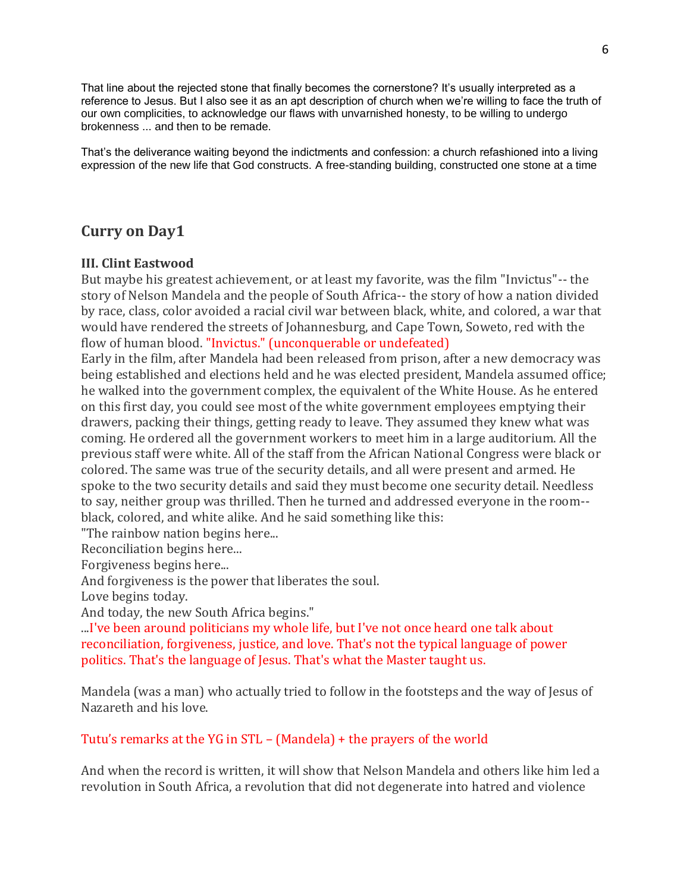That line about the rejected stone that finally becomes the cornerstone? It's usually interpreted as a reference to Jesus. But I also see it as an apt description of church when we're willing to face the truth of our own complicities, to acknowledge our flaws with unvarnished honesty, to be willing to undergo brokenness ... and then to be remade.

That's the deliverance waiting beyond the indictments and confession: a church refashioned into a living expression of the new life that God constructs. A free-standing building, constructed one stone at a time

## **Curry on Day1**

### **III. Clint Eastwood**

But maybe his greatest achievement, or at least my favorite, was the film "Invictus"-- the story of Nelson Mandela and the people of South Africa-- the story of how a nation divided by race, class, color avoided a racial civil war between black, white, and colored, a war that would have rendered the streets of Johannesburg, and Cape Town, Soweto, red with the flow of human blood. "Invictus." (unconquerable or undefeated)

Early in the film, after Mandela had been released from prison, after a new democracy was being established and elections held and he was elected president, Mandela assumed office; he walked into the government complex, the equivalent of the White House. As he entered on this first day, you could see most of the white government employees emptying their drawers, packing their things, getting ready to leave. They assumed they knew what was coming. He ordered all the government workers to meet him in a large auditorium. All the previous staff were white. All of the staff from the African National Congress were black or colored. The same was true of the security details, and all were present and armed. He spoke to the two security details and said they must become one security detail. Needless to say, neither group was thrilled. Then he turned and addressed everyone in the room- black, colored, and white alike. And he said something like this:

"The rainbow nation begins here...

Reconciliation begins here...

Forgiveness begins here...

And forgiveness is the power that liberates the soul.

Love begins today.

And today, the new South Africa begins."

...I've been around politicians my whole life, but I've not once heard one talk about reconciliation, forgiveness, justice, and love. That's not the typical language of power politics. That's the language of Jesus. That's what the Master taught us.

Mandela (was a man) who actually tried to follow in the footsteps and the way of Jesus of Nazareth and his love.

### Tutu's remarks at the YG in STL – (Mandela) + the prayers of the world

And when the record is written, it will show that Nelson Mandela and others like him led a revolution in South Africa, a revolution that did not degenerate into hatred and violence